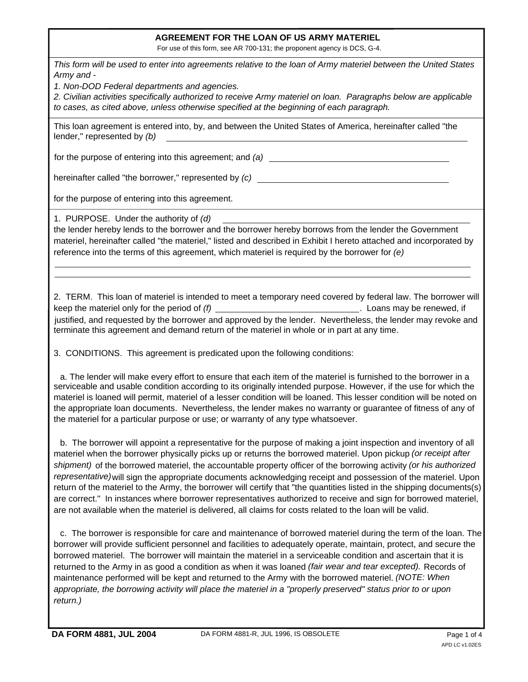## **AGREEMENT FOR THE LOAN OF US ARMY MATERIEL**

For use of this form, see AR 700-131; the proponent agency is DCS, G-4.

*This form will be used to enter into agreements relative to the loan of Army materiel between the United States Army and -*

*1. Non-DOD Federal departments and agencies.*

*2. Civilian activities specifically authorized to receive Army materiel on loan. Paragraphs below are applicable to cases, as cited above, unless otherwise specified at the beginning of each paragraph.*

This loan agreement is entered into, by, and between the United States of America, hereinafter called "the lender," represented by *(b)*

for the purpose of entering into this agreement; and *(a)*

hereinafter called "the borrower," represented by *(c)*

for the purpose of entering into this agreement.

1. PURPOSE. Under the authority of *(d)*

the lender hereby lends to the borrower and the borrower hereby borrows from the lender the Government materiel, hereinafter called "the materiel," listed and described in Exhibit I hereto attached and incorporated by reference into the terms of this agreement, which materiel is required by the borrower for *(e)*

2. TERM. This loan of materiel is intended to meet a temporary need covered by federal law. The borrower will keep the materiel only for the period of *(f)* **Loans may be renewed, if** justified, and requested by the borrower and approved by the lender. Nevertheless, the lender may revoke and terminate this agreement and demand return of the materiel in whole or in part at any time.

3. CONDITIONS. This agreement is predicated upon the following conditions:

a. The lender will make every effort to ensure that each item of the materiel is furnished to the borrower in a serviceable and usable condition according to its originally intended purpose. However, if the use for which the materiel is loaned will permit, materiel of a lesser condition will be loaned. This lesser condition will be noted on the appropriate loan documents. Nevertheless, the lender makes no warranty or guarantee of fitness of any of the materiel for a particular purpose or use; or warranty of any type whatsoever.

materiel when the borrower physically picks up or returns the borrowed materiel. Upon pickup *(or receipt after shipment)* of the borrowed materiel, the accountable property officer of the borrowing activity *(or his authorized* representative) will sign the appropriate documents acknowledging receipt and possession of the materiel. Upon b. The borrower will appoint a representative for the purpose of making a joint inspection and inventory of all return of the materiel to the Army, the borrower will certify that "the quantities listed in the shipping documents(s) are correct." In instances where borrower representatives authorized to receive and sign for borrowed materiel, are not available when the materiel is delivered, all claims for costs related to the loan will be valid.

returned to the Army in as good a condition as when it was loaned *(fair wear and tear excepted).*  Records of maintenance performed will be kept and returned to the Army with the borrowed materiel. *(NOTE: When appropriate, the borrowing activity will place the materiel in a "properly preserved" status prior to or upon return.)* c. The borrower is responsible for care and maintenance of borrowed materiel during the term of the loan. The borrower will provide sufficient personnel and facilities to adequately operate, maintain, protect, and secure the borrowed materiel. The borrower will maintain the materiel in a serviceable condition and ascertain that it is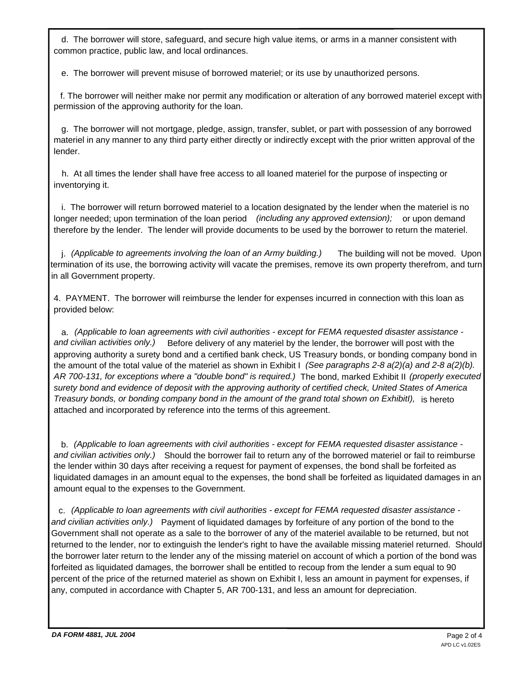common practice, public law, and local ordinances. d. The borrower will store, safeguard, and secure high value items, or arms in a manner consistent with

e. The borrower will prevent misuse of borrowed materiel; or its use by unauthorized persons.

permission of the approving authority for the loan. f. The borrower will neither make nor permit any modification or alteration of any borrowed materiel except with

g. The borrower will not mortgage, pledge, assign, transfer, sublet, or part with possession of any borrowed materiel in any manner to any third party either directly or indirectly except with the prior written approval of the lender.

inventorying it. h. At all times the lender shall have free access to all loaned materiel for the purpose of inspecting or

longer needed; upon termination of the loan period *(including any approved extension);* or upon demand therefore by the lender. The lender will provide documents to be used by the borrower to return the materiel. i. The borrower will return borrowed materiel to a location designated by the lender when the materiel is no

j. *(Applicable to agreements involving the loan of an Army building.)* The building will not be moved. Upon termination of its use, the borrowing activity will vacate the premises, remove its own property therefrom, and turn in all Government property.

4. PAYMENT. The borrower will reimburse the lender for expenses incurred in connection with this loan as provided below:

*and civilian activities only.)* Before delivery of any materiel by the lender, the borrower will post with the approving authority a surety bond and a certified bank check, US Treasury bonds, or bonding company bond in the amount of the total value of the materiel as shown in Exhibit I *(See paragraphs 2-8 a(2)(a) and 2-8 a(2)(b). AR 700-131, for exceptions where a "double bond" is required.)* The bond, marked Exhibit II *(properly executed* a. *(Applicable to loan agreements with civil authorities - except for FEMA requested disaster assistance surety bond and evidence of deposit with the approving authority of certified check, United States of America Treasury bonds, or bonding company bond in the amount of the grand total shown on ExhibitI),* is hereto attached and incorporated by reference into the terms of this agreement.

*and civilian activities only.)* Should the borrower fail to return any of the borrowed materiel or fail to reimburse b. *(Applicable to loan agreements with civil authorities - except for FEMA requested disaster assistance*  the lender within 30 days after receiving a request for payment of expenses, the bond shall be forfeited as liquidated damages in an amount equal to the expenses, the bond shall be forfeited as liquidated damages in an amount equal to the expenses to the Government.

*and civilian activities only.)* Payment of liquidated damages by forfeiture of any portion of the bond to the c. *(Applicable to loan agreements with civil authorities - except for FEMA requested disaster assistance -* Government shall not operate as a sale to the borrower of any of the materiel available to be returned, but not returned to the lender, nor to extinguish the lender's right to have the available missing materiel returned. Should the borrower later return to the lender any of the missing materiel on account of which a portion of the bond was forfeited as liquidated damages, the borrower shall be entitled to recoup from the lender a sum equal to 90 percent of the price of the returned materiel as shown on Exhibit I, less an amount in payment for expenses, if any, computed in accordance with Chapter 5, AR 700-131, and less an amount for depreciation.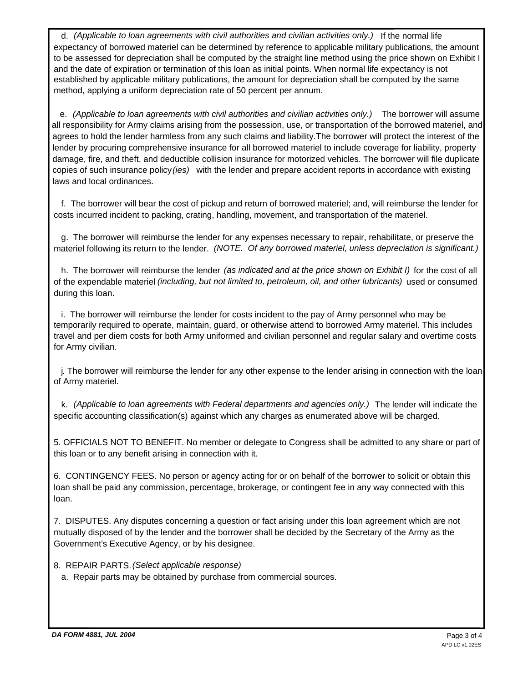d. *(Applicable to loan agreements with civil authorities and civilian activities only.)* If the normal life expectancy of borrowed materiel can be determined by reference to applicable military publications, the amount to be assessed for depreciation shall be computed by the straight line method using the price shown on Exhibit I and the date of expiration or termination of this loan as initial points. When normal life expectancy is not established by applicable military publications, the amount for depreciation shall be computed by the same method, applying a uniform depreciation rate of 50 percent per annum.

copies of such insurance policy*(ies)* with the lender and prepare accident reports in accordance with existing e. *(Applicable to loan agreements with civil authorities and civilian activities only.)* The borrower will assume all responsibility for Army claims arising from the possession, use, or transportation of the borrowed materiel, and agrees to hold the lender harmless from any such claims and liability.The borrower will protect the interest of the lender by procuring comprehensive insurance for all borrowed materiel to include coverage for liability, property damage, fire, and theft, and deductible collision insurance for motorized vehicles. The borrower will file duplicate laws and local ordinances.

costs incurred incident to packing, crating, handling, movement, and transportation of the materiel. f. The borrower will bear the cost of pickup and return of borrowed materiel; and, will reimburse the lender for

materiel following its return to the lender. *(NOTE. Of any borrowed materiel, unless depreciation is significant.)*  g. The borrower will reimburse the lender for any expenses necessary to repair, rehabilitate, or preserve the

of the expendable materiel *(including, but not limited to, petroleum, oil, and other lubricants)* used or consumed h. The borrower will reimburse the lender *(as indicated and at the price shown on Exhibit I)* for the cost of all during this loan.

i. The borrower will reimburse the lender for costs incident to the pay of Army personnel who may be temporarily required to operate, maintain, guard, or otherwise attend to borrowed Army materiel. This includes travel and per diem costs for both Army uniformed and civilian personnel and regular salary and overtime costs for Army civilian.

of Army materiel. j. The borrower will reimburse the lender for any other expense to the lender arising in connection with the loan

specific accounting classification(s) against which any charges as enumerated above will be charged. k. *(Applicable to loan agreements with Federal departments and agencies only.)* The lender will indicate the

5. OFFICIALS NOT TO BENEFIT. No member or delegate to Congress shall be admitted to any share or part of this loan or to any benefit arising in connection with it.

6. CONTINGENCY FEES. No person or agency acting for or on behalf of the borrower to solicit or obtain this loan shall be paid any commission, percentage, brokerage, or contingent fee in any way connected with this loan.

7. DISPUTES. Any disputes concerning a question or fact arising under this loan agreement which are not mutually disposed of by the lender and the borrower shall be decided by the Secretary of the Army as the Government's Executive Agency, or by his designee.

8. REPAIR PARTS.*(Select applicable response)*

a. Repair parts may be obtained by purchase from commercial sources.